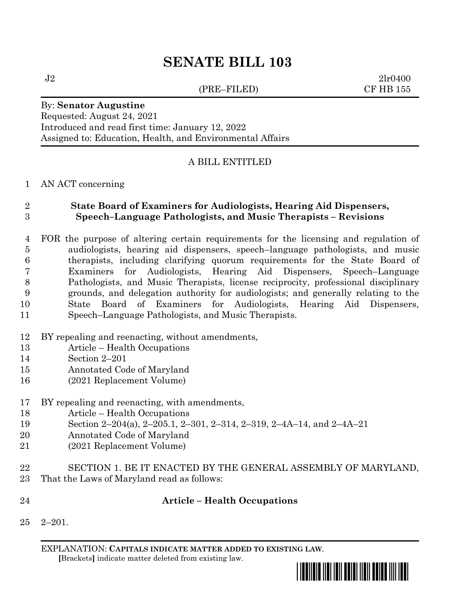(PRE–FILED) CF HB 155

 $J2 \t2l r0400$ 

# By: **Senator Augustine** Requested: August 24, 2021

Introduced and read first time: January 12, 2022 Assigned to: Education, Health, and Environmental Affairs

# A BILL ENTITLED

## AN ACT concerning

# **State Board of Examiners for Audiologists, Hearing Aid Dispensers, Speech–Language Pathologists, and Music Therapists – Revisions**

- FOR the purpose of altering certain requirements for the licensing and regulation of audiologists, hearing aid dispensers, speech–language pathologists, and music therapists, including clarifying quorum requirements for the State Board of Examiners for Audiologists, Hearing Aid Dispensers, Speech–Language Pathologists, and Music Therapists, license reciprocity, professional disciplinary grounds, and delegation authority for audiologists; and generally relating to the State Board of Examiners for Audiologists, Hearing Aid Dispensers, Speech–Language Pathologists, and Music Therapists.
- BY repealing and reenacting, without amendments,
- Article Health Occupations
- Section 2–201
- Annotated Code of Maryland
- (2021 Replacement Volume)

## BY repealing and reenacting, with amendments,

- Article Health Occupations
- Section 2–204(a), 2–205.1, 2–301, 2–314, 2–319, 2–4A–14, and 2–4A–21
- Annotated Code of Maryland
- (2021 Replacement Volume)
- SECTION 1. BE IT ENACTED BY THE GENERAL ASSEMBLY OF MARYLAND, That the Laws of Maryland read as follows:
- **Article – Health Occupations**
- 2–201.

EXPLANATION: **CAPITALS INDICATE MATTER ADDED TO EXISTING LAW**.  **[**Brackets**]** indicate matter deleted from existing law.

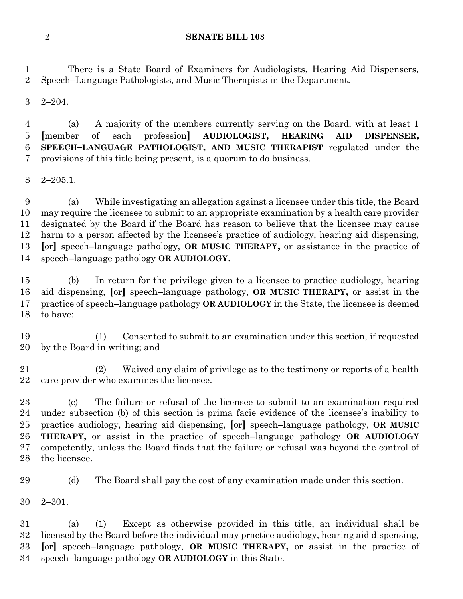There is a State Board of Examiners for Audiologists, Hearing Aid Dispensers, Speech–Language Pathologists, and Music Therapists in the Department.

2–204.

 (a) A majority of the members currently serving on the Board, with at least 1 **[**member of each profession**] AUDIOLOGIST, HEARING AID DISPENSER, SPEECH–LANGUAGE PATHOLOGIST, AND MUSIC THERAPIST** regulated under the provisions of this title being present, is a quorum to do business.

2–205.1.

 (a) While investigating an allegation against a licensee under this title, the Board may require the licensee to submit to an appropriate examination by a health care provider designated by the Board if the Board has reason to believe that the licensee may cause harm to a person affected by the licensee's practice of audiology, hearing aid dispensing, **[**or**]** speech–language pathology, **OR MUSIC THERAPY,** or assistance in the practice of speech–language pathology **OR AUDIOLOGY**.

 (b) In return for the privilege given to a licensee to practice audiology, hearing aid dispensing, **[**or**]** speech–language pathology, **OR MUSIC THERAPY,** or assist in the practice of speech–language pathology **OR AUDIOLOGY** in the State, the licensee is deemed to have:

 (1) Consented to submit to an examination under this section, if requested by the Board in writing; and

 (2) Waived any claim of privilege as to the testimony or reports of a health care provider who examines the licensee.

 (c) The failure or refusal of the licensee to submit to an examination required under subsection (b) of this section is prima facie evidence of the licensee's inability to practice audiology, hearing aid dispensing, **[**or**]** speech–language pathology, **OR MUSIC THERAPY,** or assist in the practice of speech–language pathology **OR AUDIOLOGY**  competently, unless the Board finds that the failure or refusal was beyond the control of the licensee.

(d) The Board shall pay the cost of any examination made under this section.

2–301.

 (a) (1) Except as otherwise provided in this title, an individual shall be licensed by the Board before the individual may practice audiology, hearing aid dispensing, **[**or**]** speech–language pathology, **OR MUSIC THERAPY,** or assist in the practice of speech–language pathology **OR AUDIOLOGY** in this State.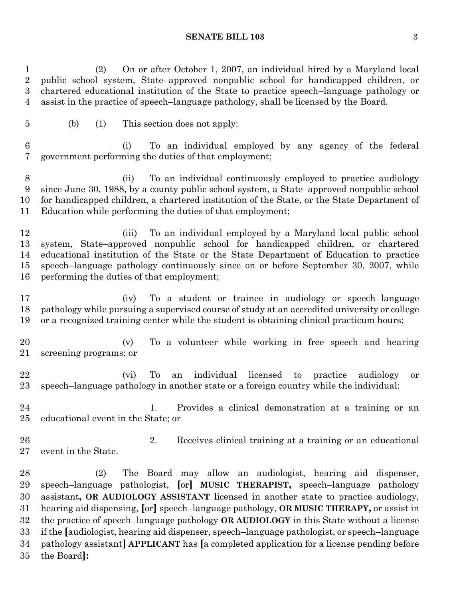(2) On or after October 1, 2007, an individual hired by a Maryland local public school system, State–approved nonpublic school for handicapped children, or chartered educational institution of the State to practice speech–language pathology or assist in the practice of speech–language pathology, shall be licensed by the Board.

(b) (1) This section does not apply:

 (i) To an individual employed by any agency of the federal government performing the duties of that employment;

 (ii) To an individual continuously employed to practice audiology since June 30, 1988, by a county public school system, a State–approved nonpublic school for handicapped children, a chartered institution of the State, or the State Department of Education while performing the duties of that employment;

 (iii) To an individual employed by a Maryland local public school system, State–approved nonpublic school for handicapped children, or chartered educational institution of the State or the State Department of Education to practice speech–language pathology continuously since on or before September 30, 2007, while performing the duties of that employment;

 (iv) To a student or trainee in audiology or speech–language pathology while pursuing a supervised course of study at an accredited university or college or a recognized training center while the student is obtaining clinical practicum hours;

 (v) To a volunteer while working in free speech and hearing screening programs; or

 (vi) To an individual licensed to practice audiology or speech–language pathology in another state or a foreign country while the individual:

 1. Provides a clinical demonstration at a training or an educational event in the State; or

 2. Receives clinical training at a training or an educational event in the State.

 (2) The Board may allow an audiologist, hearing aid dispenser, speech–language pathologist, **[**or**] MUSIC THERAPIST,** speech–language pathology assistant**, OR AUDIOLOGY ASSISTANT** licensed in another state to practice audiology, hearing aid dispensing, **[**or**]** speech–language pathology, **OR MUSIC THERAPY,** or assist in the practice of speech–language pathology **OR AUDIOLOGY** in this State without a license if the **[**audiologist, hearing aid dispenser, speech–language pathologist, or speech–language pathology assistant**] APPLICANT** has **[**a completed application for a license pending before the Board**]:**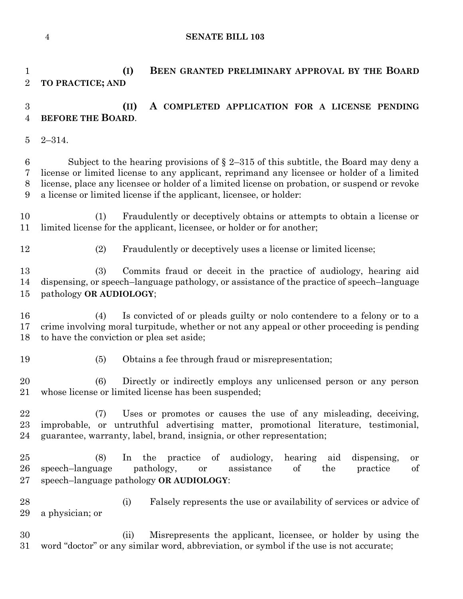**(I) BEEN GRANTED PRELIMINARY APPROVAL BY THE BOARD**

# **TO PRACTICE; AND (II) A COMPLETED APPLICATION FOR A LICENSE PENDING BEFORE THE BOARD**. 2–314. 6 Subject to the hearing provisions of  $\S 2-315$  of this subtitle, the Board may deny a license or limited license to any applicant, reprimand any licensee or holder of a limited license, place any licensee or holder of a limited license on probation, or suspend or revoke a license or limited license if the applicant, licensee, or holder: (1) Fraudulently or deceptively obtains or attempts to obtain a license or limited license for the applicant, licensee, or holder or for another; (2) Fraudulently or deceptively uses a license or limited license; (3) Commits fraud or deceit in the practice of audiology, hearing aid dispensing, or speech–language pathology, or assistance of the practice of speech–language pathology **OR AUDIOLOGY**; (4) Is convicted of or pleads guilty or nolo contendere to a felony or to a crime involving moral turpitude, whether or not any appeal or other proceeding is pending to have the conviction or plea set aside; (5) Obtains a fee through fraud or misrepresentation; (6) Directly or indirectly employs any unlicensed person or any person whose license or limited license has been suspended; (7) Uses or promotes or causes the use of any misleading, deceiving, improbable, or untruthful advertising matter, promotional literature, testimonial, guarantee, warranty, label, brand, insignia, or other representation; (8) In the practice of audiology, hearing aid dispensing, or speech–language pathology, or assistance of the practice of speech–language pathology **OR AUDIOLOGY**: (i) Falsely represents the use or availability of services or advice of a physician; or (ii) Misrepresents the applicant, licensee, or holder by using the word "doctor" or any similar word, abbreviation, or symbol if the use is not accurate;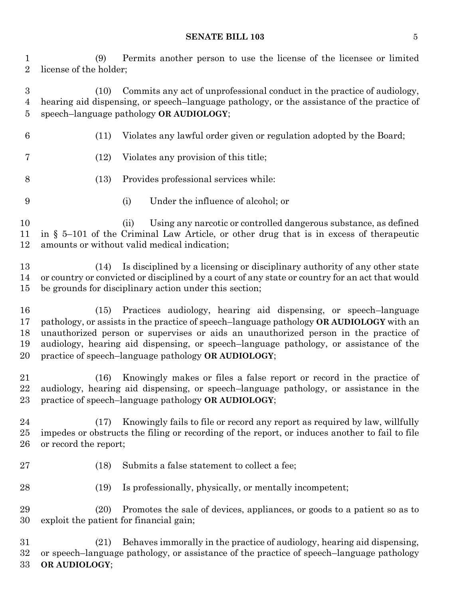#### **SENATE BILL 103** 5

 (9) Permits another person to use the license of the licensee or limited license of the holder;

 (10) Commits any act of unprofessional conduct in the practice of audiology, hearing aid dispensing, or speech–language pathology, or the assistance of the practice of speech–language pathology **OR AUDIOLOGY**;

- (11) Violates any lawful order given or regulation adopted by the Board;
- (12) Violates any provision of this title;
- (13) Provides professional services while:
- (i) Under the influence of alcohol; or

 (ii) Using any narcotic or controlled dangerous substance, as defined in § 5–101 of the Criminal Law Article, or other drug that is in excess of therapeutic amounts or without valid medical indication;

 (14) Is disciplined by a licensing or disciplinary authority of any other state or country or convicted or disciplined by a court of any state or country for an act that would be grounds for disciplinary action under this section;

 (15) Practices audiology, hearing aid dispensing, or speech–language pathology, or assists in the practice of speech–language pathology **OR AUDIOLOGY** with an unauthorized person or supervises or aids an unauthorized person in the practice of audiology, hearing aid dispensing, or speech–language pathology, or assistance of the practice of speech–language pathology **OR AUDIOLOGY**;

 (16) Knowingly makes or files a false report or record in the practice of audiology, hearing aid dispensing, or speech–language pathology, or assistance in the practice of speech–language pathology **OR AUDIOLOGY**;

 (17) Knowingly fails to file or record any report as required by law, willfully impedes or obstructs the filing or recording of the report, or induces another to fail to file or record the report;

- (18) Submits a false statement to collect a fee;
- (19) Is professionally, physically, or mentally incompetent;

 (20) Promotes the sale of devices, appliances, or goods to a patient so as to exploit the patient for financial gain;

 (21) Behaves immorally in the practice of audiology, hearing aid dispensing, or speech–language pathology, or assistance of the practice of speech–language pathology **OR AUDIOLOGY**;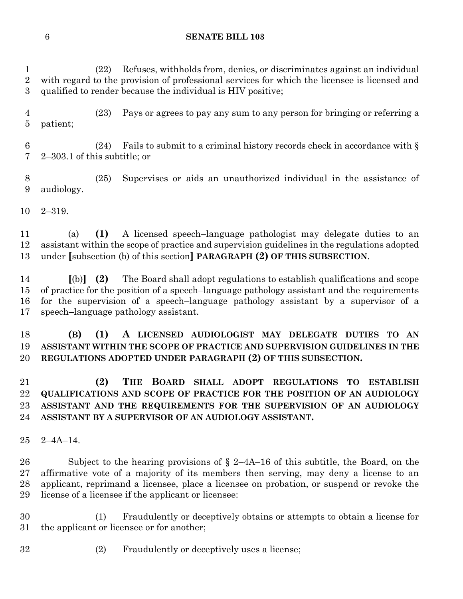(22) Refuses, withholds from, denies, or discriminates against an individual with regard to the provision of professional services for which the licensee is licensed and qualified to render because the individual is HIV positive;

 (23) Pays or agrees to pay any sum to any person for bringing or referring a patient;

6 (24) Fails to submit to a criminal history records check in accordance with  $\S$ 2–303.1 of this subtitle; or

 (25) Supervises or aids an unauthorized individual in the assistance of audiology.

2–319.

 (a) **(1)** A licensed speech–language pathologist may delegate duties to an assistant within the scope of practice and supervision guidelines in the regulations adopted under **[**subsection (b) of this section**] PARAGRAPH (2) OF THIS SUBSECTION**.

 **[**(b)**] (2)** The Board shall adopt regulations to establish qualifications and scope of practice for the position of a speech–language pathology assistant and the requirements for the supervision of a speech–language pathology assistant by a supervisor of a speech–language pathology assistant.

# **(B) (1) A LICENSED AUDIOLOGIST MAY DELEGATE DUTIES TO AN ASSISTANT WITHIN THE SCOPE OF PRACTICE AND SUPERVISION GUIDELINES IN THE REGULATIONS ADOPTED UNDER PARAGRAPH (2) OF THIS SUBSECTION.**

 **(2) THE BOARD SHALL ADOPT REGULATIONS TO ESTABLISH QUALIFICATIONS AND SCOPE OF PRACTICE FOR THE POSITION OF AN AUDIOLOGY ASSISTANT AND THE REQUIREMENTS FOR THE SUPERVISION OF AN AUDIOLOGY ASSISTANT BY A SUPERVISOR OF AN AUDIOLOGY ASSISTANT.**

2–4A–14.

 Subject to the hearing provisions of § 2–4A–16 of this subtitle, the Board, on the affirmative vote of a majority of its members then serving, may deny a license to an applicant, reprimand a licensee, place a licensee on probation, or suspend or revoke the license of a licensee if the applicant or licensee:

 (1) Fraudulently or deceptively obtains or attempts to obtain a license for the applicant or licensee or for another;

(2) Fraudulently or deceptively uses a license;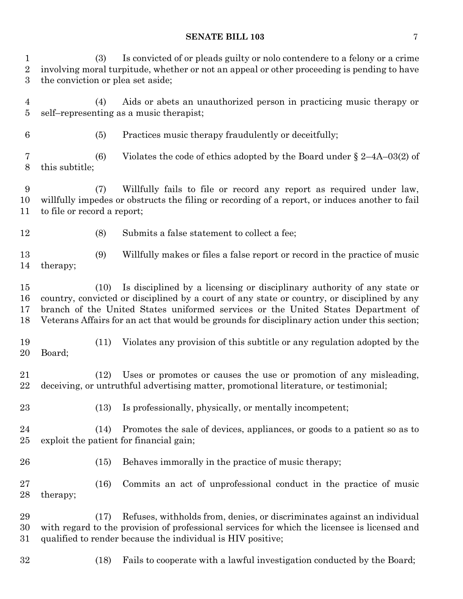#### **SENATE BILL 103** 7

 (3) Is convicted of or pleads guilty or nolo contendere to a felony or a crime involving moral turpitude, whether or not an appeal or other proceeding is pending to have the conviction or plea set aside;

 (4) Aids or abets an unauthorized person in practicing music therapy or self–representing as a music therapist;

(5) Practices music therapy fraudulently or deceitfully;

 (6) Violates the code of ethics adopted by the Board under § 2–4A–03(2) of this subtitle;

 (7) Willfully fails to file or record any report as required under law, willfully impedes or obstructs the filing or recording of a report, or induces another to fail to file or record a report;

(8) Submits a false statement to collect a fee;

 (9) Willfully makes or files a false report or record in the practice of music therapy;

 (10) Is disciplined by a licensing or disciplinary authority of any state or country, convicted or disciplined by a court of any state or country, or disciplined by any branch of the United States uniformed services or the United States Department of Veterans Affairs for an act that would be grounds for disciplinary action under this section;

 (11) Violates any provision of this subtitle or any regulation adopted by the Board;

 (12) Uses or promotes or causes the use or promotion of any misleading, deceiving, or untruthful advertising matter, promotional literature, or testimonial;

(13) Is professionally, physically, or mentally incompetent;

 (14) Promotes the sale of devices, appliances, or goods to a patient so as to exploit the patient for financial gain;

(15) Behaves immorally in the practice of music therapy;

 (16) Commits an act of unprofessional conduct in the practice of music therapy;

 (17) Refuses, withholds from, denies, or discriminates against an individual with regard to the provision of professional services for which the licensee is licensed and qualified to render because the individual is HIV positive;

(18) Fails to cooperate with a lawful investigation conducted by the Board;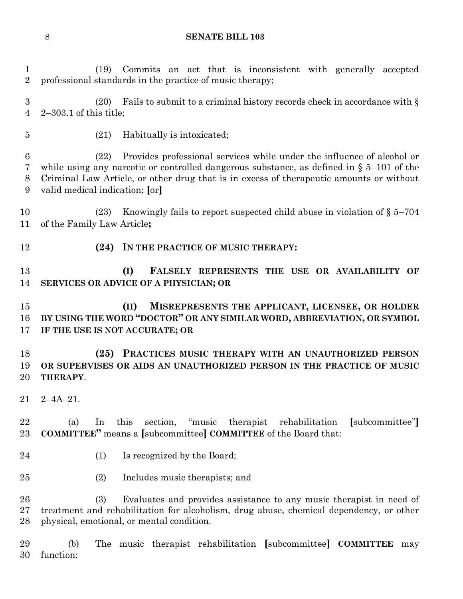(19) Commits an act that is inconsistent with generally accepted professional standards in the practice of music therapy; (20) Fails to submit to a criminal history records check in accordance with § 2–303.1 of this title; (21) Habitually is intoxicated; (22) Provides professional services while under the influence of alcohol or while using any narcotic or controlled dangerous substance, as defined in § 5–101 of the Criminal Law Article, or other drug that is in excess of therapeutic amounts or without valid medical indication; **[**or**]** (23) Knowingly fails to report suspected child abuse in violation of § 5–704 of the Family Law Article**; (24) IN THE PRACTICE OF MUSIC THERAPY: (I) FALSELY REPRESENTS THE USE OR AVAILABILITY OF SERVICES OR ADVICE OF A PHYSICIAN; OR (II) MISREPRESENTS THE APPLICANT, LICENSEE, OR HOLDER BY USING THE WORD "DOCTOR" OR ANY SIMILAR WORD, ABBREVIATION, OR SYMBOL IF THE USE IS NOT ACCURATE; OR**

 **(25) PRACTICES MUSIC THERAPY WITH AN UNAUTHORIZED PERSON OR SUPERVISES OR AIDS AN UNAUTHORIZED PERSON IN THE PRACTICE OF MUSIC THERAPY**.

2–4A–21.

 (a) In this section, "music therapist rehabilitation **[**subcommittee"**] COMMITTEE"** means a **[**subcommittee**] COMMITTEE** of the Board that:

- 24 (1) Is recognized by the Board;
- (2) Includes music therapists; and

 (3) Evaluates and provides assistance to any music therapist in need of treatment and rehabilitation for alcoholism, drug abuse, chemical dependency, or other physical, emotional, or mental condition.

 (b) The music therapist rehabilitation **[**subcommittee**] COMMITTEE** may function: